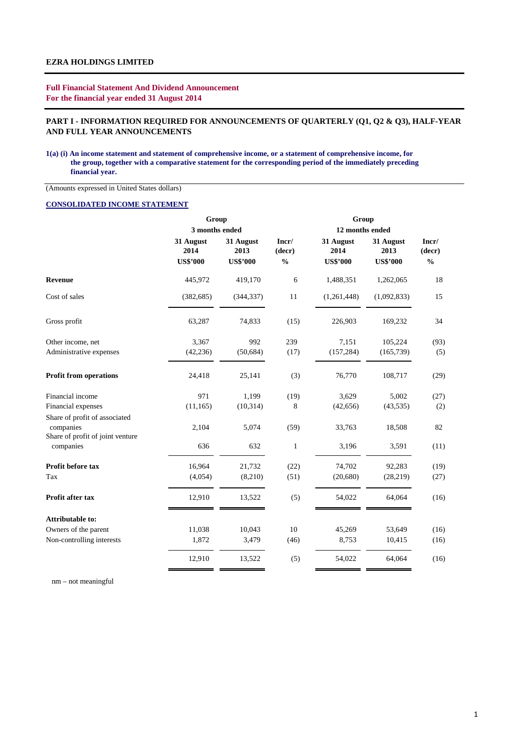**Full Financial Statement And Dividend Announcement For the financial year ended 31 August 2014**

## **PART I - INFORMATION REQUIRED FOR ANNOUNCEMENTS OF QUARTERLY (Q1, Q2 & Q3), HALF-YEAR AND FULL YEAR ANNOUNCEMENTS**

#### **1(a) (i) An income statement and statement of comprehensive income, or a statement of comprehensive income, for the group, together with a comparative statement for the corresponding period of the immediately preceding financial year.**

(Amounts expressed in United States dollars)

#### **CONSOLIDATED INCOME STATEMENT**

|                                               | Group                                |                                      |                                                       | Group                                |                                      |                                  |  |  |
|-----------------------------------------------|--------------------------------------|--------------------------------------|-------------------------------------------------------|--------------------------------------|--------------------------------------|----------------------------------|--|--|
|                                               | 3 months ended                       |                                      |                                                       | 12 months ended                      |                                      |                                  |  |  |
|                                               | 31 August<br>2014<br><b>US\$'000</b> | 31 August<br>2013<br><b>US\$'000</b> | Incr/<br>(decr)<br>$\mathbf{0}_{\mathbf{0}}^{\prime}$ | 31 August<br>2014<br><b>US\$'000</b> | 31 August<br>2013<br><b>US\$'000</b> | Incr/<br>(decr)<br>$\frac{0}{0}$ |  |  |
| <b>Revenue</b>                                | 445,972                              | 419,170                              | 6                                                     | 1,488,351                            | 1,262,065                            | 18                               |  |  |
| Cost of sales                                 | (382, 685)                           | (344, 337)                           | 11                                                    | (1,261,448)                          | (1,092,833)                          | 15                               |  |  |
| Gross profit                                  | 63,287                               | 74,833                               | (15)                                                  | 226,903                              | 169,232                              | 34                               |  |  |
| Other income, net                             | 3,367                                | 992                                  | 239                                                   | 7,151                                | 105,224                              | (93)                             |  |  |
| Administrative expenses                       | (42, 236)                            | (50, 684)                            | (17)                                                  | (157, 284)                           | (165, 739)                           | (5)                              |  |  |
| <b>Profit from operations</b>                 | 24,418                               | 25,141                               | (3)                                                   | 76,770                               | 108,717                              | (29)                             |  |  |
| Financial income                              | 971                                  | 1,199                                | (19)                                                  | 3,629                                | 5,002                                | (27)                             |  |  |
| Financial expenses                            | (11, 165)                            | (10, 314)                            | 8                                                     | (42, 656)                            | (43,535)                             | (2)                              |  |  |
| Share of profit of associated<br>companies    | 2,104                                | 5,074                                | (59)                                                  | 33,763                               | 18,508                               | 82                               |  |  |
| Share of profit of joint venture<br>companies | 636                                  | 632                                  | $\mathbf{1}$                                          | 3,196                                | 3,591                                | (11)                             |  |  |
| Profit before tax                             | 16,964                               | 21,732                               | (22)                                                  | 74,702                               | 92,283                               | (19)                             |  |  |
| Tax                                           | (4,054)                              | (8,210)                              | (51)                                                  | (20, 680)                            | (28, 219)                            | (27)                             |  |  |
| Profit after tax                              | 12,910                               | 13,522                               | (5)                                                   | 54,022                               | 64,064                               | (16)                             |  |  |
| <b>Attributable to:</b>                       |                                      |                                      |                                                       |                                      |                                      |                                  |  |  |
| Owners of the parent                          | 11,038                               | 10,043                               | 10                                                    | 45,269                               | 53,649                               | (16)                             |  |  |
| Non-controlling interests                     | 1,872                                | 3,479                                | (46)                                                  | 8,753                                | 10,415                               | (16)                             |  |  |
|                                               | 12,910                               | 13,522                               | (5)                                                   | 54,022                               | 64,064                               | (16)                             |  |  |

nm – not meaningful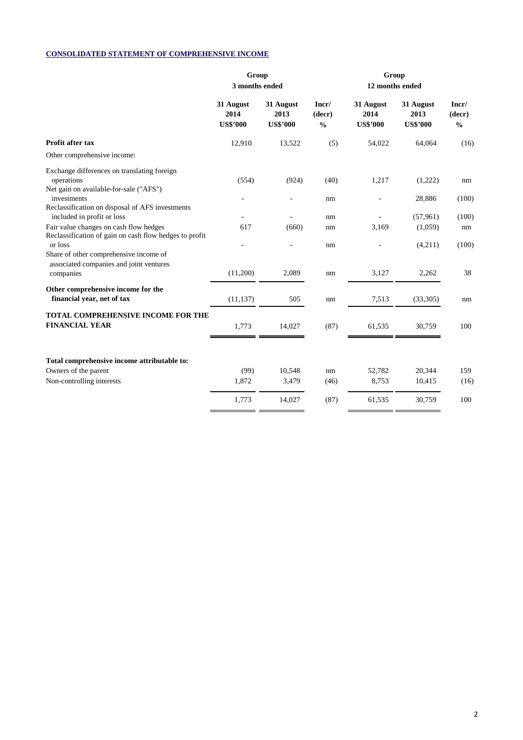## **CONSOLIDATED STATEMENT OF COMPREHENSIVE INCOME**

|                                                                                                             | Group<br>3 months ended              |                                      |                                  |                                      |                                      |                                  |
|-------------------------------------------------------------------------------------------------------------|--------------------------------------|--------------------------------------|----------------------------------|--------------------------------------|--------------------------------------|----------------------------------|
|                                                                                                             | 31 August<br>2014<br><b>US\$'000</b> | 31 August<br>2013<br><b>US\$'000</b> | Incr/<br>(decr)<br>$\frac{0}{0}$ | 31 August<br>2014<br><b>US\$'000</b> | 31 August<br>2013<br><b>US\$'000</b> | Incr/<br>(decr)<br>$\frac{0}{0}$ |
| Profit after tax                                                                                            | 12,910                               | 13,522                               | (5)                              | 54,022                               | 64,064                               | (16)                             |
| Other comprehensive income:                                                                                 |                                      |                                      |                                  |                                      |                                      |                                  |
| Exchange differences on translating foreign<br>operations<br>Net gain on available-for-sale ("AFS")         | (554)                                | (924)                                | (40)                             | 1,217                                | (1,222)                              | nm                               |
| investments<br>Reclassification on disposal of AFS investments<br>included in profit or loss                |                                      |                                      | nm<br>nm                         |                                      | 28,886<br>(57,961)                   | (100)<br>(100)                   |
| Fair value changes on cash flow hedges<br>Reclassification of gain on cash flow hedges to profit<br>or loss | 617                                  | (660)                                | nm                               | 3,169                                | (1,059)                              | nm<br>(100)                      |
| Share of other comprehensive income of<br>associated companies and joint ventures                           |                                      |                                      | nm                               |                                      | (4,211)                              |                                  |
| companies                                                                                                   | (11,200)                             | 2,089                                | nm                               | 3,127                                | 2,262                                | 38                               |
| Other comprehensive income for the<br>financial year, net of tax                                            | (11, 137)                            | 505                                  | nm                               | 7,513                                | (33,305)                             | nm                               |
| TOTAL COMPREHENSIVE INCOME FOR THE<br><b>FINANCIAL YEAR</b>                                                 | 1,773                                | 14,027                               | (87)                             | 61,535                               | 30,759                               | 100                              |
| Total comprehensive income attributable to:                                                                 |                                      |                                      |                                  |                                      |                                      |                                  |
| Owners of the parent                                                                                        | (99)                                 | 10,548                               | nm                               | 52,782                               | 20,344                               | 159                              |
| Non-controlling interests                                                                                   | 1,872                                | 3,479                                | (46)                             | 8,753                                | 10,415                               | (16)                             |
|                                                                                                             | 1,773                                | 14,027                               | (87)                             | 61,535                               | 30,759                               | 100                              |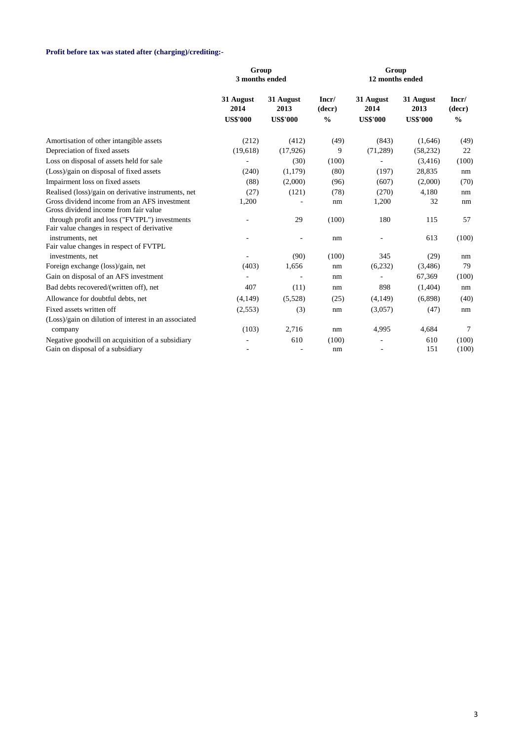## **Profit before tax was stated after (charging)/crediting:-**

|                                                                                              | Group<br>3 months ended              |                                      |                                  |                                      |                                      |                                  |
|----------------------------------------------------------------------------------------------|--------------------------------------|--------------------------------------|----------------------------------|--------------------------------------|--------------------------------------|----------------------------------|
|                                                                                              | 31 August<br>2014<br><b>US\$'000</b> | 31 August<br>2013<br><b>US\$'000</b> | Incr/<br>(decr)<br>$\frac{0}{0}$ | 31 August<br>2014<br><b>US\$'000</b> | 31 August<br>2013<br><b>US\$'000</b> | Incr/<br>(decr)<br>$\frac{0}{0}$ |
| Amortisation of other intangible assets                                                      | (212)                                | (412)                                | (49)                             | (843)                                | (1,646)                              | (49)                             |
| Depreciation of fixed assets                                                                 | (19, 618)                            | (17,926)                             | 9                                | (71, 289)                            | (58, 232)                            | 22                               |
| Loss on disposal of assets held for sale                                                     |                                      | (30)                                 | (100)                            |                                      | (3,416)                              | (100)                            |
| (Loss)/gain on disposal of fixed assets                                                      | (240)                                | (1,179)                              | (80)                             | (197)                                | 28,835                               | nm                               |
| Impairment loss on fixed assets                                                              | (88)                                 | (2,000)                              | (96)                             | (607)                                | (2,000)                              | (70)                             |
| Realised (loss)/gain on derivative instruments, net                                          | (27)                                 | (121)                                | (78)                             | (270)                                | 4,180                                | nm                               |
| Gross dividend income from an AFS investment<br>Gross dividend income from fair value        | 1,200                                |                                      | nm                               | 1,200                                | 32                                   | nm                               |
| through profit and loss ("FVTPL") investments<br>Fair value changes in respect of derivative |                                      | 29                                   | (100)                            | 180                                  | 115                                  | 57                               |
| instruments, net                                                                             |                                      | $\overline{\phantom{a}}$             | nm                               |                                      | 613                                  | (100)                            |
| Fair value changes in respect of FVTPL                                                       |                                      |                                      |                                  |                                      |                                      |                                  |
| investments, net                                                                             |                                      | (90)                                 | (100)                            | 345                                  | (29)                                 | nm                               |
| Foreign exchange (loss)/gain, net                                                            | (403)                                | 1,656                                | nm                               | (6,232)                              | (3,486)                              | 79                               |
| Gain on disposal of an AFS investment                                                        |                                      |                                      | nm                               |                                      | 67,369                               | (100)                            |
| Bad debts recovered/(written off), net                                                       | 407                                  | (11)                                 | nm                               | 898                                  | (1,404)                              | nm                               |
| Allowance for doubtful debts, net                                                            | (4,149)                              | (5,528)                              | (25)                             | (4,149)                              | (6,898)                              | (40)                             |
| Fixed assets written off                                                                     | (2,553)                              | (3)                                  | nm                               | (3,057)                              | (47)                                 | nm                               |
| (Loss)/gain on dilution of interest in an associated<br>company                              | (103)                                | 2,716                                | nm                               | 4,995                                | 4,684                                | 7                                |
| Negative goodwill on acquisition of a subsidiary                                             |                                      | 610                                  | (100)                            | ÷,                                   | 610                                  | (100)                            |
| Gain on disposal of a subsidiary                                                             | $\overline{\phantom{a}}$             |                                      | nm                               |                                      | 151                                  | (100)                            |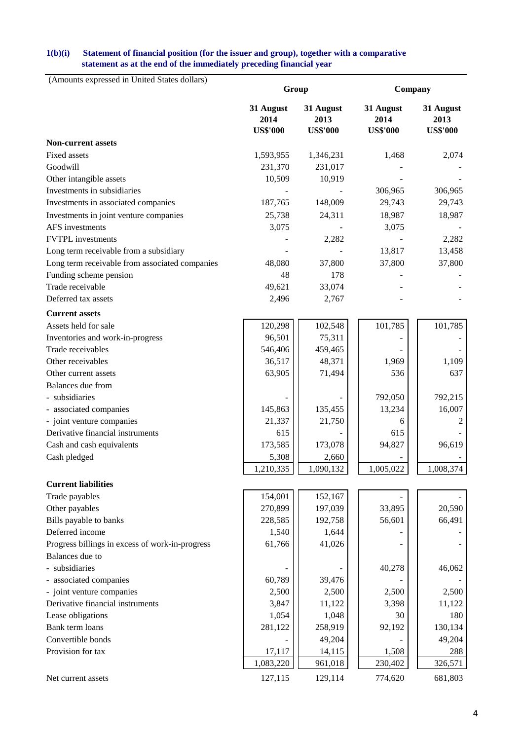### **statement as at the end of the immediately preceding financial year 1(b)(i) Statement of financial position (for the issuer and group), together with a comparative**

| (Amounts expressed in United States dollars)    | Group             |                    | Company           |                   |  |  |
|-------------------------------------------------|-------------------|--------------------|-------------------|-------------------|--|--|
|                                                 | 31 August<br>2014 | 31 August<br>2013  | 31 August<br>2014 | 31 August<br>2013 |  |  |
|                                                 | <b>US\$'000</b>   | <b>US\$'000</b>    | <b>US\$'000</b>   | <b>US\$'000</b>   |  |  |
| <b>Non-current assets</b>                       |                   |                    |                   |                   |  |  |
| Fixed assets                                    | 1,593,955         | 1,346,231          | 1,468             | 2,074             |  |  |
| Goodwill                                        | 231,370           | 231,017            |                   |                   |  |  |
| Other intangible assets                         | 10,509            | 10,919             |                   |                   |  |  |
| Investments in subsidiaries                     |                   |                    | 306,965           | 306,965           |  |  |
| Investments in associated companies             | 187,765           | 148,009            | 29,743            | 29,743            |  |  |
| Investments in joint venture companies          | 25,738            | 24,311             | 18,987            | 18,987            |  |  |
| AFS investments                                 | 3,075             |                    | 3,075             |                   |  |  |
| <b>FVTPL</b> investments                        |                   | 2,282              |                   | 2,282             |  |  |
| Long term receivable from a subsidiary          |                   |                    | 13,817            | 13,458            |  |  |
| Long term receivable from associated companies  | 48,080            | 37,800             | 37,800            | 37,800            |  |  |
| Funding scheme pension                          | 48                | 178                |                   |                   |  |  |
| Trade receivable                                | 49,621            | 33,074             |                   |                   |  |  |
| Deferred tax assets                             | 2,496             | 2,767              |                   |                   |  |  |
| <b>Current assets</b>                           |                   |                    |                   |                   |  |  |
| Assets held for sale                            | 120,298           | 102,548            | 101,785           | 101,785           |  |  |
| Inventories and work-in-progress                | 96,501            | 75,311             |                   |                   |  |  |
| Trade receivables                               | 546,406           | 459,465            |                   |                   |  |  |
| Other receivables                               | 36,517            | 48,371             | 1,969             | 1,109             |  |  |
| Other current assets                            | 63,905            | 71,494             | 536               | 637               |  |  |
| Balances due from                               |                   |                    |                   |                   |  |  |
| - subsidiaries                                  |                   |                    | 792,050           | 792,215           |  |  |
| - associated companies                          | 145,863           | 135,455            | 13,234            | 16,007            |  |  |
| - joint venture companies                       | 21,337            | 21,750             | 6                 | 2                 |  |  |
| Derivative financial instruments                | 615               |                    | 615               |                   |  |  |
| Cash and cash equivalents                       | 173,585           | 173,078            | 94,827            | 96,619            |  |  |
| Cash pledged                                    | 5,308             | 2,660              |                   |                   |  |  |
|                                                 | 1,210,335         | 1,090,132          | 1,005,022         | 1,008,374         |  |  |
| <b>Current liabilities</b>                      |                   |                    |                   |                   |  |  |
|                                                 |                   |                    |                   |                   |  |  |
| Trade payables                                  | 154,001           | 152,167            |                   |                   |  |  |
| Other payables                                  | 270,899           | 197,039<br>192,758 | 33,895<br>56,601  | 20,590<br>66,491  |  |  |
| Bills payable to banks<br>Deferred income       | 228,585           |                    |                   |                   |  |  |
|                                                 | 1,540             | 1,644              |                   |                   |  |  |
| Progress billings in excess of work-in-progress | 61,766            | 41,026             |                   |                   |  |  |
| Balances due to                                 |                   |                    |                   |                   |  |  |
| - subsidiaries                                  |                   |                    | 40,278            | 46,062            |  |  |
| - associated companies                          | 60,789            | 39,476             |                   |                   |  |  |
| - joint venture companies                       | 2,500             | 2,500              | 2,500             | 2,500             |  |  |
| Derivative financial instruments                | 3,847             | 11,122             | 3,398             | 11,122            |  |  |
| Lease obligations                               | 1,054             | 1,048              | 30                | 180               |  |  |
| Bank term loans                                 | 281,122           | 258,919            | 92,192            | 130,134           |  |  |
| Convertible bonds                               |                   | 49,204             |                   | 49,204            |  |  |
| Provision for tax                               | 17,117            | 14,115             | 1,508             | 288               |  |  |
|                                                 | 1,083,220         | 961,018            | 230,402           | 326,571           |  |  |
| Net current assets                              | 127,115           | 129,114            | 774,620           | 681,803           |  |  |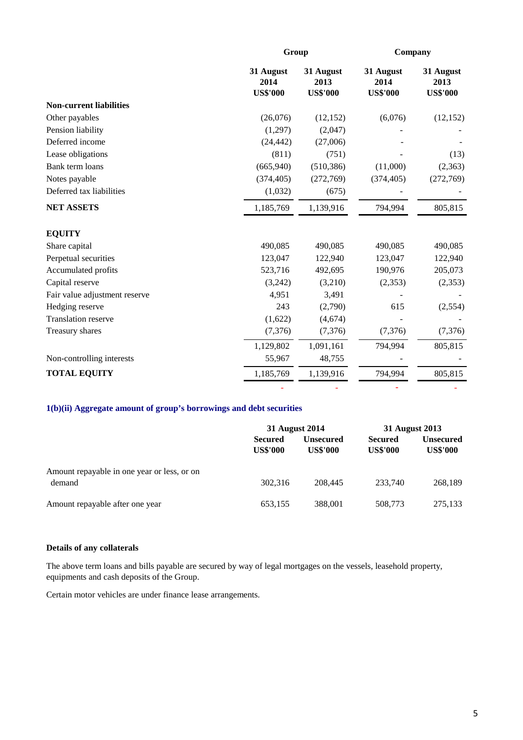|                                | Group                                |                                      | Company                              |                                      |  |
|--------------------------------|--------------------------------------|--------------------------------------|--------------------------------------|--------------------------------------|--|
|                                | 31 August<br>2014<br><b>US\$'000</b> | 31 August<br>2013<br><b>US\$'000</b> | 31 August<br>2014<br><b>US\$'000</b> | 31 August<br>2013<br><b>US\$'000</b> |  |
| <b>Non-current liabilities</b> |                                      |                                      |                                      |                                      |  |
| Other payables                 | (26,076)                             | (12, 152)                            | (6,076)                              | (12, 152)                            |  |
| Pension liability              | (1,297)                              | (2,047)                              |                                      |                                      |  |
| Deferred income                | (24, 442)                            | (27,006)                             |                                      |                                      |  |
| Lease obligations              | (811)                                | (751)                                |                                      | (13)                                 |  |
| Bank term loans                | (665, 940)                           | (510, 386)                           | (11,000)                             | (2,363)                              |  |
| Notes payable                  | (374, 405)                           | (272,769)                            | (374, 405)                           | (272,769)                            |  |
| Deferred tax liabilities       | (1,032)                              | (675)                                |                                      |                                      |  |
| <b>NET ASSETS</b>              | 1,185,769                            | 1,139,916                            | 794,994                              | 805,815                              |  |
| <b>EQUITY</b>                  |                                      |                                      |                                      |                                      |  |
| Share capital                  | 490,085                              | 490,085                              | 490,085                              | 490,085                              |  |
| Perpetual securities           | 123,047                              | 122,940                              | 123,047                              | 122,940                              |  |
| Accumulated profits            | 523,716                              | 492,695                              | 190,976                              | 205,073                              |  |
| Capital reserve                | (3,242)                              | (3,210)                              | (2,353)                              | (2,353)                              |  |
| Fair value adjustment reserve  | 4,951                                | 3,491                                |                                      |                                      |  |
| Hedging reserve                | 243                                  | (2,790)                              | 615                                  | (2,554)                              |  |
| <b>Translation reserve</b>     | (1,622)                              | (4,674)                              |                                      |                                      |  |
| Treasury shares                | (7,376)                              | (7,376)                              | (7,376)                              | (7, 376)                             |  |
|                                | 1,129,802                            | 1,091,161                            | 794,994                              | 805,815                              |  |
| Non-controlling interests      | 55,967                               | 48,755                               |                                      |                                      |  |
| <b>TOTAL EQUITY</b>            | 1,185,769                            | 1,139,916                            | 794,994                              | 805,815                              |  |
|                                |                                      |                                      |                                      |                                      |  |

## **1(b)(ii) Aggregate amount of group's borrowings and debt securities**

|                                                       | 31 August 2014                    |                              | 31 August 2013                    |                                     |  |
|-------------------------------------------------------|-----------------------------------|------------------------------|-----------------------------------|-------------------------------------|--|
|                                                       | <b>Secured</b><br><b>US\$'000</b> | Unsecured<br><b>US\$'000</b> | <b>Secured</b><br><b>US\$'000</b> | <b>Unsecured</b><br><b>US\$'000</b> |  |
| Amount repayable in one year or less, or on<br>demand | 302.316                           | 208,445                      | 233.740                           | 268,189                             |  |
| Amount repayable after one year                       | 653,155                           | 388,001                      | 508,773                           | 275,133                             |  |

## **Details of any collaterals**

equipments and cash deposits of the Group. The above term loans and bills payable are secured by way of legal mortgages on the vessels, leasehold property,

Certain motor vehicles are under finance lease arrangements.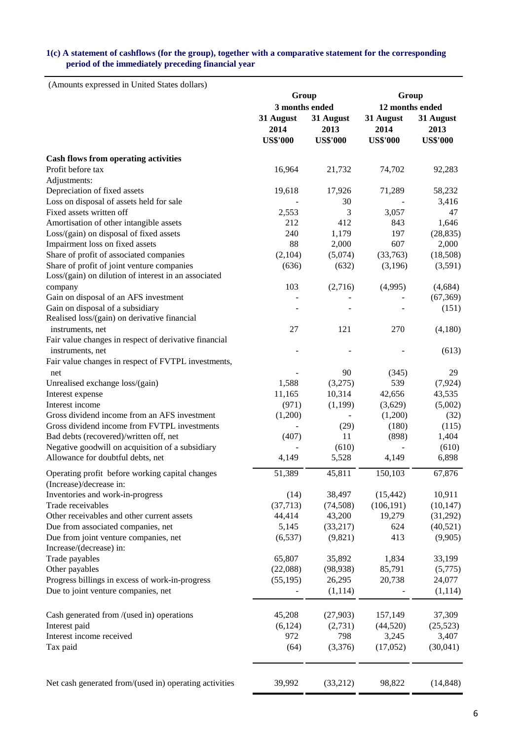## **1(c) A statement of cashflows (for the group), together with a comparative statement for the corresponding period of the immediately preceding financial year**

(Amounts expressed in United States dollars)

|                                                                                  | Group                                |                                      | Group                                |                                      |  |
|----------------------------------------------------------------------------------|--------------------------------------|--------------------------------------|--------------------------------------|--------------------------------------|--|
|                                                                                  | 3 months ended                       |                                      | 12 months ended                      |                                      |  |
|                                                                                  | 31 August<br>2014<br><b>US\$'000</b> | 31 August<br>2013<br><b>US\$'000</b> | 31 August<br>2014<br><b>US\$'000</b> | 31 August<br>2013<br><b>US\$'000</b> |  |
| <b>Cash flows from operating activities</b>                                      |                                      |                                      |                                      |                                      |  |
| Profit before tax                                                                | 16,964                               | 21,732                               | 74,702                               | 92,283                               |  |
| Adjustments:                                                                     |                                      |                                      |                                      |                                      |  |
| Depreciation of fixed assets                                                     | 19,618                               | 17,926                               | 71,289                               | 58,232                               |  |
| Loss on disposal of assets held for sale                                         |                                      | 30                                   |                                      | 3,416                                |  |
| Fixed assets written off                                                         | 2,553                                | 3                                    | 3,057                                | 47                                   |  |
| Amortisation of other intangible assets                                          | 212                                  | 412                                  | 843                                  | 1,646                                |  |
| Loss/(gain) on disposal of fixed assets                                          | 240                                  | 1,179                                | 197                                  | (28, 835)                            |  |
| Impairment loss on fixed assets                                                  | 88                                   | 2,000                                | 607                                  | 2,000                                |  |
| Share of profit of associated companies                                          | (2,104)                              | (5,074)                              | (33,763)                             | (18,508)                             |  |
| Share of profit of joint venture companies                                       | (636)                                | (632)                                | (3,196)                              | (3,591)                              |  |
| Loss/(gain) on dilution of interest in an associated                             |                                      |                                      |                                      |                                      |  |
|                                                                                  |                                      |                                      |                                      |                                      |  |
| company                                                                          | 103                                  | (2,716)                              | (4,995)                              | (4,684)                              |  |
| Gain on disposal of an AFS investment                                            |                                      |                                      |                                      | (67, 369)                            |  |
| Gain on disposal of a subsidiary<br>Realised loss/(gain) on derivative financial |                                      |                                      |                                      | (151)                                |  |
| instruments, net                                                                 | 27                                   | 121                                  | 270                                  | (4,180)                              |  |
| Fair value changes in respect of derivative financial                            |                                      |                                      |                                      |                                      |  |
| instruments, net                                                                 |                                      |                                      |                                      | (613)                                |  |
| Fair value changes in respect of FVTPL investments,                              |                                      |                                      |                                      |                                      |  |
| net                                                                              |                                      | 90                                   | (345)                                | 29                                   |  |
| Unrealised exchange loss/(gain)                                                  | 1,588                                | (3,275)                              | 539                                  | (7, 924)                             |  |
| Interest expense                                                                 | 11,165                               | 10,314                               | 42,656                               | 43,535                               |  |
| Interest income                                                                  | (971)                                | (1,199)                              | (3,629)                              | (5,002)                              |  |
| Gross dividend income from an AFS investment                                     | (1,200)                              |                                      | (1,200)                              | (32)                                 |  |
| Gross dividend income from FVTPL investments                                     |                                      | (29)                                 | (180)                                | (115)                                |  |
| Bad debts (recovered)/written off, net                                           | (407)                                | 11                                   | (898)                                | 1,404                                |  |
| Negative goodwill on acquisition of a subsidiary                                 |                                      | (610)                                |                                      | (610)                                |  |
| Allowance for doubtful debts, net                                                | 4,149                                | 5,528                                | 4,149                                | 6,898                                |  |
| Operating profit before working capital changes<br>(Increase)/decrease in:       | 51,389                               | 45,811                               | 150,103                              | 67,876                               |  |
| Inventories and work-in-progress                                                 | (14)                                 | 38,497                               | (15, 442)                            | 10,911                               |  |
| Trade receivables                                                                | (37, 713)                            | (74, 508)                            | (106, 191)                           | (10, 147)                            |  |
| Other receivables and other current assets                                       | 44,414                               | 43,200                               | 19,279                               | (31,292)                             |  |
| Due from associated companies, net                                               | 5,145                                | (33,217)                             | 624                                  | (40,521)                             |  |
| Due from joint venture companies, net                                            | (6, 537)                             | (9,821)                              | 413                                  | (9,905)                              |  |
| Increase/(decrease) in:                                                          |                                      |                                      |                                      |                                      |  |
| Trade payables                                                                   | 65,807                               | 35,892                               | 1,834                                | 33,199                               |  |
| Other payables                                                                   | (22,088)                             | (98, 938)                            | 85,791                               | (5,775)                              |  |
| Progress billings in excess of work-in-progress                                  | (55, 195)                            | 26,295                               | 20,738                               | 24,077                               |  |
| Due to joint venture companies, net                                              |                                      | (1,114)                              |                                      | (1, 114)                             |  |
|                                                                                  |                                      |                                      |                                      |                                      |  |
| Cash generated from /(used in) operations                                        | 45,208                               | (27,903)                             | 157,149                              | 37,309                               |  |
| Interest paid                                                                    | (6, 124)                             | (2,731)                              | (44,520)                             | (25, 523)                            |  |
| Interest income received                                                         | 972                                  | 798                                  | 3,245                                | 3,407                                |  |
| Tax paid                                                                         | (64)                                 | (3,376)                              | (17,052)                             | (30,041)                             |  |
|                                                                                  |                                      |                                      |                                      |                                      |  |
| Net cash generated from/(used in) operating activities                           | 39,992                               | (33,212)                             | 98,822                               | (14, 848)                            |  |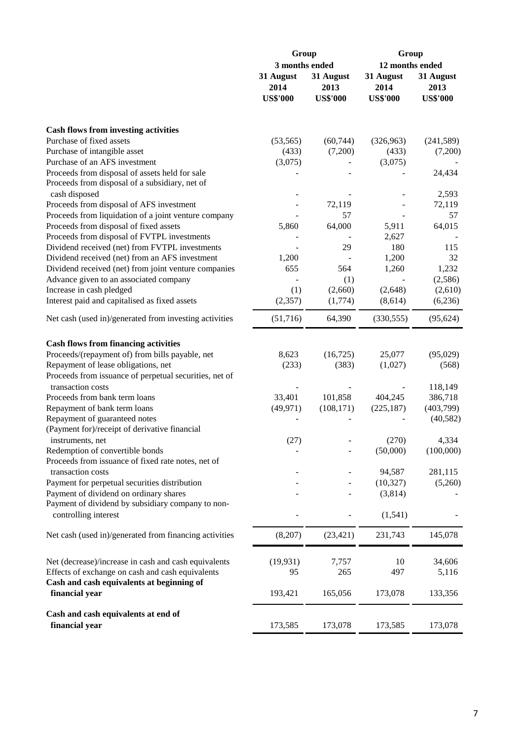|                                                             | Group                                |                                      | Group                                |                                      |  |  |
|-------------------------------------------------------------|--------------------------------------|--------------------------------------|--------------------------------------|--------------------------------------|--|--|
|                                                             | 3 months ended                       |                                      | 12 months ended                      |                                      |  |  |
|                                                             | 31 August<br>2014<br><b>US\$'000</b> | 31 August<br>2013<br><b>US\$'000</b> | 31 August<br>2014<br><b>US\$'000</b> | 31 August<br>2013<br><b>US\$'000</b> |  |  |
|                                                             |                                      |                                      |                                      |                                      |  |  |
| <b>Cash flows from investing activities</b>                 |                                      |                                      |                                      |                                      |  |  |
| Purchase of fixed assets                                    | (53, 565)                            | (60, 744)                            | (326,963)                            | (241, 589)                           |  |  |
| Purchase of intangible asset                                | (433)                                | (7,200)                              | (433)                                | (7,200)                              |  |  |
| Purchase of an AFS investment                               | (3,075)                              |                                      | (3,075)                              |                                      |  |  |
| Proceeds from disposal of assets held for sale              |                                      |                                      |                                      | 24,434                               |  |  |
| Proceeds from disposal of a subsidiary, net of              |                                      |                                      |                                      |                                      |  |  |
| cash disposed                                               |                                      |                                      |                                      | 2,593                                |  |  |
| Proceeds from disposal of AFS investment                    |                                      | 72,119                               |                                      | 72,119                               |  |  |
| Proceeds from liquidation of a joint venture company        |                                      | 57                                   |                                      | 57                                   |  |  |
| Proceeds from disposal of fixed assets                      | 5,860                                | 64,000                               | 5,911                                | 64,015                               |  |  |
| Proceeds from disposal of FVTPL investments                 |                                      |                                      | 2,627                                |                                      |  |  |
| Dividend received (net) from FVTPL investments              |                                      | 29                                   | 180                                  | 115                                  |  |  |
|                                                             |                                      |                                      |                                      | 32                                   |  |  |
| Dividend received (net) from an AFS investment              | 1,200                                |                                      | 1,200                                |                                      |  |  |
| Dividend received (net) from joint venture companies        | 655                                  | 564                                  | 1,260                                | 1,232                                |  |  |
| Advance given to an associated company                      |                                      | (1)                                  |                                      | (2,586)                              |  |  |
| Increase in cash pledged                                    | (1)                                  | (2,660)                              | (2,648)                              | (2,610)                              |  |  |
| Interest paid and capitalised as fixed assets               | (2, 357)                             | (1,774)                              | (8,614)                              | (6,236)                              |  |  |
| Net cash (used in)/generated from investing activities      | (51, 716)                            | 64,390                               | (330, 555)                           | (95, 624)                            |  |  |
|                                                             |                                      |                                      |                                      |                                      |  |  |
| <b>Cash flows from financing activities</b>                 |                                      |                                      |                                      |                                      |  |  |
| Proceeds/(repayment of) from bills payable, net             | 8,623                                | (16, 725)                            | 25,077                               | (95,029)                             |  |  |
| Repayment of lease obligations, net                         | (233)                                | (383)                                | (1,027)                              | (568)                                |  |  |
| Proceeds from issuance of perpetual securities, net of      |                                      |                                      |                                      |                                      |  |  |
| transaction costs                                           |                                      |                                      |                                      | 118,149                              |  |  |
| Proceeds from bank term loans                               | 33,401                               | 101,858                              | 404,245                              | 386,718                              |  |  |
| Repayment of bank term loans                                | (49, 971)                            | (108, 171)                           | (225, 187)                           | (403,799)                            |  |  |
| Repayment of guaranteed notes                               |                                      |                                      |                                      | (40, 582)                            |  |  |
| (Payment for)/receipt of derivative financial               |                                      |                                      |                                      |                                      |  |  |
| instruments, net                                            | (27)                                 |                                      | (270)                                | 4,334                                |  |  |
| Redemption of convertible bonds                             |                                      |                                      | (50,000)                             | (100,000)                            |  |  |
| Proceeds from issuance of fixed rate notes, net of          |                                      |                                      |                                      |                                      |  |  |
| transaction costs                                           |                                      |                                      | 94,587                               | 281,115                              |  |  |
| Payment for perpetual securities distribution               |                                      |                                      | (10, 327)                            | (5,260)                              |  |  |
| Payment of dividend on ordinary shares                      |                                      |                                      | (3,814)                              |                                      |  |  |
| Payment of dividend by subsidiary company to non-           |                                      |                                      |                                      |                                      |  |  |
| controlling interest                                        |                                      |                                      | (1, 541)                             |                                      |  |  |
|                                                             |                                      |                                      |                                      |                                      |  |  |
| Net cash (used in)/generated from financing activities      | (8,207)                              | (23, 421)                            | 231,743                              | 145,078                              |  |  |
| Net (decrease)/increase in cash and cash equivalents        | (19, 931)                            | 7,757                                | 10                                   | 34,606                               |  |  |
| Effects of exchange on cash and cash equivalents            | 95                                   | 265                                  | 497                                  | 5,116                                |  |  |
|                                                             |                                      |                                      |                                      |                                      |  |  |
| Cash and cash equivalents at beginning of<br>financial year |                                      |                                      |                                      |                                      |  |  |
|                                                             | 193,421                              | 165,056                              | 173,078                              | 133,356                              |  |  |
| Cash and cash equivalents at end of                         |                                      |                                      |                                      |                                      |  |  |
| financial year                                              | 173,585                              | 173,078                              | 173,585                              | 173,078                              |  |  |
|                                                             |                                      |                                      |                                      |                                      |  |  |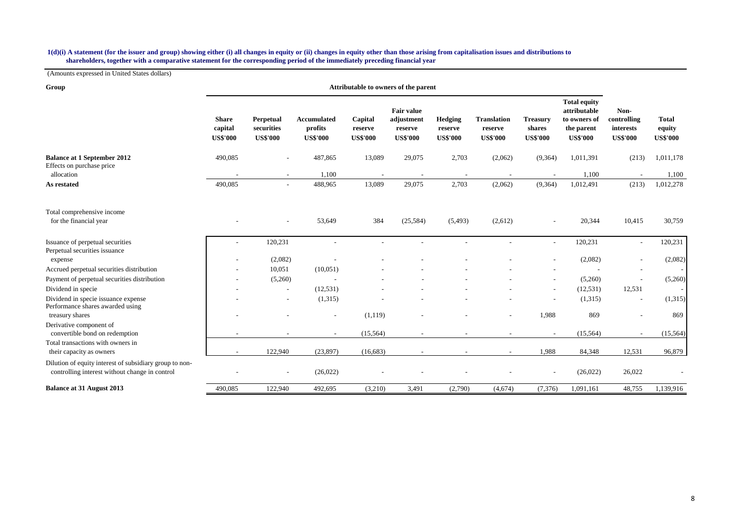#### **shareholders, together with a comparative statement for the corresponding period of the immediately preceding financial year 1(d)(i) A statement (for the issuer and group) showing either (i) all changes in equity or (ii) changes in equity other than those arising from capitalisation issues and distributions to**

(Amounts expressed in United States dollars)

| Group                                                                                                     | Attributable to owners of the parent       |                                            |                                                  |                                       |                                                               |                                       |                                                  |                                              |                                                                                      |                                                     |                                           |
|-----------------------------------------------------------------------------------------------------------|--------------------------------------------|--------------------------------------------|--------------------------------------------------|---------------------------------------|---------------------------------------------------------------|---------------------------------------|--------------------------------------------------|----------------------------------------------|--------------------------------------------------------------------------------------|-----------------------------------------------------|-------------------------------------------|
|                                                                                                           | <b>Share</b><br>capital<br><b>US\$'000</b> | Perpetual<br>securities<br><b>US\$'000</b> | <b>Accumulated</b><br>profits<br><b>US\$'000</b> | Capital<br>reserve<br><b>US\$'000</b> | <b>Fair value</b><br>adjustment<br>reserve<br><b>US\$'000</b> | Hedging<br>reserve<br><b>US\$'000</b> | <b>Translation</b><br>reserve<br><b>US\$'000</b> | <b>Treasury</b><br>shares<br><b>US\$'000</b> | <b>Total equity</b><br>attributable<br>to owners of<br>the parent<br><b>US\$'000</b> | Non-<br>controlling<br>interests<br><b>US\$'000</b> | <b>Total</b><br>equity<br><b>US\$'000</b> |
| <b>Balance at 1 September 2012</b>                                                                        | 490,085                                    |                                            | 487,865                                          | 13,089                                | 29,075                                                        | 2,703                                 | (2,062)                                          | (9,364)                                      | 1,011,391                                                                            | (213)                                               | 1,011,178                                 |
| Effects on purchase price                                                                                 |                                            |                                            |                                                  |                                       |                                                               |                                       |                                                  |                                              |                                                                                      |                                                     |                                           |
| allocation                                                                                                |                                            | $\overline{\phantom{a}}$                   | 1,100                                            |                                       |                                                               |                                       |                                                  |                                              | 1,100                                                                                |                                                     | 1,100                                     |
| As restated                                                                                               | 490,085                                    |                                            | 488,965                                          | 13,089                                | 29,075                                                        | 2,703                                 | (2,062)                                          | (9, 364)                                     | 1,012,491                                                                            | (213)                                               | 1,012,278                                 |
| Total comprehensive income                                                                                |                                            |                                            |                                                  |                                       |                                                               |                                       |                                                  |                                              |                                                                                      |                                                     |                                           |
| for the financial year                                                                                    |                                            |                                            | 53,649                                           | 384                                   | (25, 584)                                                     | (5,493)                               | (2,612)                                          |                                              | 20,344                                                                               | 10,415                                              | 30,759                                    |
| Issuance of perpetual securities                                                                          | ۰                                          | 120,231                                    |                                                  |                                       |                                                               |                                       |                                                  | $\overline{\phantom{a}}$                     | 120,231                                                                              | $\overline{\phantom{a}}$                            | 120,231                                   |
| Perpetual securities issuance<br>expense                                                                  |                                            | (2,082)                                    |                                                  |                                       |                                                               |                                       |                                                  |                                              | (2,082)                                                                              |                                                     | (2,082)                                   |
| Accrued perpetual securities distribution                                                                 |                                            | 10,051                                     | (10,051)                                         |                                       |                                                               |                                       |                                                  |                                              |                                                                                      | $\overline{\phantom{a}}$                            |                                           |
| Payment of perpetual securities distribution                                                              |                                            | (5,260)                                    |                                                  |                                       |                                                               |                                       |                                                  |                                              | (5,260)                                                                              |                                                     | (5,260)                                   |
| Dividend in specie                                                                                        |                                            | $\sim$                                     | (12, 531)                                        |                                       |                                                               |                                       |                                                  | $\overline{\phantom{a}}$                     | (12, 531)                                                                            | 12,531                                              |                                           |
| Dividend in specie issuance expense                                                                       |                                            | $\sim$                                     | (1,315)                                          |                                       |                                                               |                                       |                                                  |                                              | (1,315)                                                                              | $\overline{\phantom{a}}$                            | (1,315)                                   |
| Performance shares awarded using<br>treasury shares                                                       |                                            |                                            |                                                  | (1,119)                               |                                                               |                                       |                                                  | 1,988                                        | 869                                                                                  |                                                     | 869                                       |
| Derivative component of                                                                                   |                                            |                                            |                                                  |                                       |                                                               |                                       |                                                  |                                              |                                                                                      |                                                     |                                           |
| convertible bond on redemption<br>Total transactions with owners in                                       | ٠                                          | $\overline{\phantom{a}}$                   | $\sim$                                           | (15, 564)                             |                                                               |                                       | $\overline{\phantom{a}}$                         | $\overline{\phantom{a}}$                     | (15, 564)                                                                            | $\overline{\phantom{a}}$                            | (15, 564)                                 |
| their capacity as owners                                                                                  |                                            | 122,940                                    | (23, 897)                                        | (16,683)                              |                                                               |                                       |                                                  | 1,988                                        | 84,348                                                                               | 12,531                                              | 96,879                                    |
| Dilution of equity interest of subsidiary group to non-<br>controlling interest without change in control |                                            |                                            | (26,022)                                         |                                       |                                                               |                                       |                                                  |                                              | (26,022)                                                                             | 26,022                                              |                                           |
| <b>Balance at 31 August 2013</b>                                                                          | 490,085                                    | 122,940                                    | 492,695                                          | (3,210)                               | 3,491                                                         | (2,790)                               | (4,674)                                          | (7,376)                                      | 1,091,161                                                                            | 48,755                                              | 1,139,916                                 |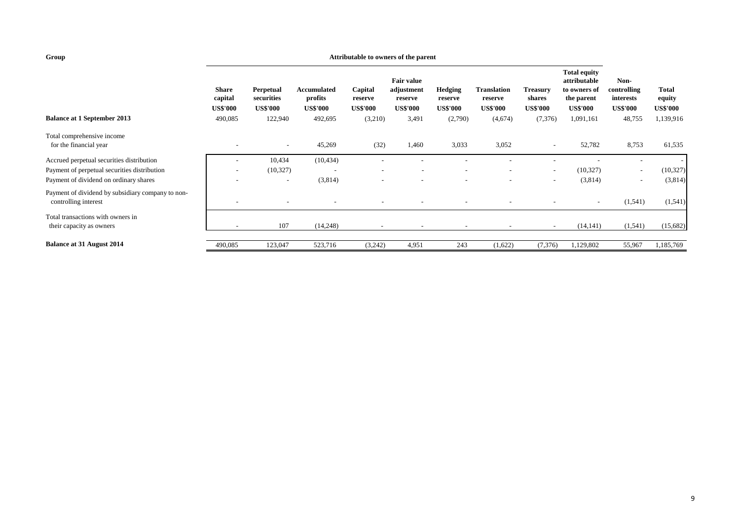#### **Attributable to owners of the parent**

|                                                                           | <b>Share</b><br>capital<br><b>US\$'000</b> | Perpetual<br>securities<br><b>US\$'000</b> | Accumulated<br>profits<br>US\$'000 | Capital<br>reserve<br><b>US\$'000</b> | <b>Fair value</b><br>adjustment<br>reserve<br><b>US\$'000</b> | <b>Hedging</b><br>reserve<br><b>US\$'000</b> | Translation<br>reserve<br><b>US\$'000</b> | <b>Treasury</b><br>shares<br><b>US\$'000</b> | <b>Total equity</b><br>attributable<br>to owners of<br>the parent<br><b>US\$'000</b> | Non-<br>controlling<br>interests<br><b>US\$'000</b> | <b>Total</b><br>equity<br><b>US\$'000</b> |
|---------------------------------------------------------------------------|--------------------------------------------|--------------------------------------------|------------------------------------|---------------------------------------|---------------------------------------------------------------|----------------------------------------------|-------------------------------------------|----------------------------------------------|--------------------------------------------------------------------------------------|-----------------------------------------------------|-------------------------------------------|
| <b>Balance at 1 September 2013</b>                                        | 490,085                                    | 122,940                                    | 492,695                            | (3,210)                               | 3,491                                                         | (2,790)                                      | (4,674)                                   | (7, 376)                                     | 1,091,161                                                                            | 48,755                                              | 1,139,916                                 |
| Total comprehensive income<br>for the financial year                      |                                            | $\overline{\phantom{a}}$                   | 45,269                             | (32)                                  | 1,460                                                         | 3,033                                        | 3,052                                     | $\overline{\phantom{a}}$                     | 52,782                                                                               | 8,753                                               | 61,535                                    |
| Accrued perpetual securities distribution                                 | -                                          | 10,434                                     | (10, 434)                          |                                       |                                                               |                                              |                                           |                                              |                                                                                      |                                                     |                                           |
| Payment of perpetual securities distribution                              | $\overline{\phantom{a}}$                   | (10, 327)                                  |                                    | $\overline{\phantom{a}}$              | $\overline{\phantom{a}}$                                      |                                              | $\overline{\phantom{a}}$                  | $\sim$                                       | (10, 327)                                                                            | $\overline{\phantom{a}}$                            | (10, 327)                                 |
| Payment of dividend on ordinary shares                                    |                                            | $\overline{\phantom{a}}$                   | (3,814)                            |                                       |                                                               |                                              | $\overline{\phantom{0}}$                  | $\sim$                                       | (3,814)                                                                              | $\overline{\phantom{a}}$                            | (3,814)                                   |
| Payment of dividend by subsidiary company to non-<br>controlling interest | -                                          |                                            |                                    |                                       |                                                               |                                              |                                           | $\overline{\phantom{a}}$                     | $\overline{\phantom{a}}$                                                             | (1, 541)                                            | (1,541)                                   |
| Total transactions with owners in<br>their capacity as owners             |                                            | 107                                        | (14,248)                           | $\overline{\phantom{a}}$              | $\overline{\phantom{a}}$                                      |                                              | $\overline{\phantom{0}}$                  | $\overline{\phantom{a}}$                     | (14, 141)                                                                            | (1, 541)                                            | (15,682)                                  |
| <b>Balance at 31 August 2014</b>                                          | 490,085                                    | 123,047                                    | 523,716                            | (3,242)                               | 4,951                                                         | 243                                          | (1,622)                                   | (7,376)                                      | 1,129,802                                                                            | 55,967                                              | 1,185,769                                 |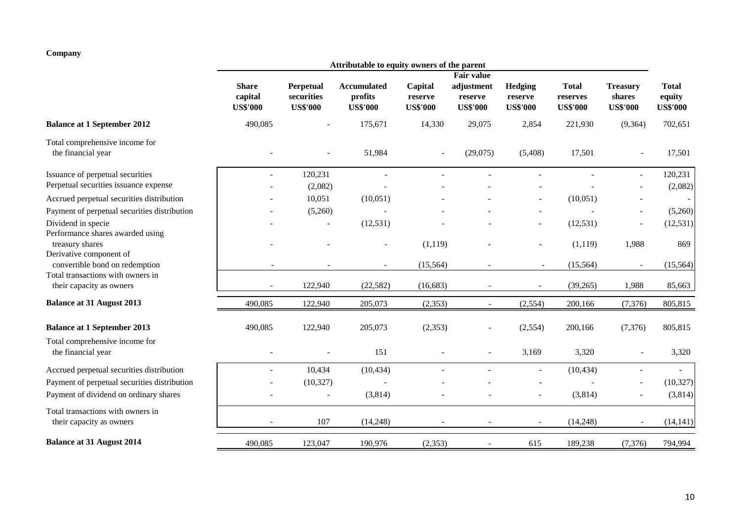## **Company**

|                                                               |                                            |                                            | Attributable to equity owners of the parent      |                                       |                                          |                                       |                                             |                                              |                                           |
|---------------------------------------------------------------|--------------------------------------------|--------------------------------------------|--------------------------------------------------|---------------------------------------|------------------------------------------|---------------------------------------|---------------------------------------------|----------------------------------------------|-------------------------------------------|
|                                                               |                                            |                                            |                                                  |                                       | Fair value                               |                                       |                                             |                                              |                                           |
|                                                               | <b>Share</b><br>capital<br><b>US\$'000</b> | Perpetual<br>securities<br><b>US\$'000</b> | <b>Accumulated</b><br>profits<br><b>US\$'000</b> | Capital<br>reserve<br><b>US\$'000</b> | adjustment<br>reserve<br><b>US\$'000</b> | Hedging<br>reserve<br><b>US\$'000</b> | <b>Total</b><br>reserves<br><b>US\$'000</b> | <b>Treasury</b><br>shares<br><b>US\$'000</b> | <b>Total</b><br>equity<br><b>US\$'000</b> |
| <b>Balance at 1 September 2012</b>                            | 490,085                                    |                                            | 175,671                                          | 14,330                                | 29,075                                   | 2,854                                 | 221,930                                     | (9,364)                                      | 702,651                                   |
| Total comprehensive income for<br>the financial year          |                                            |                                            | 51,984                                           |                                       | (29,075)                                 | (5,408)                               | 17,501                                      |                                              | 17,501                                    |
| Issuance of perpetual securities                              |                                            | 120,231                                    | $\overline{a}$                                   |                                       |                                          |                                       |                                             | $\blacksquare$                               | 120,231                                   |
| Perpetual securities issuance expense                         |                                            | (2,082)                                    |                                                  |                                       |                                          |                                       |                                             |                                              | (2,082)                                   |
| Accrued perpetual securities distribution                     |                                            | 10,051                                     | (10,051)                                         |                                       |                                          |                                       | (10,051)                                    |                                              | $\overline{\phantom{a}}$                  |
| Payment of perpetual securities distribution                  |                                            | (5,260)                                    |                                                  |                                       |                                          |                                       |                                             |                                              | (5,260)                                   |
| Dividend in specie                                            |                                            | $\overline{a}$                             | (12, 531)                                        |                                       |                                          |                                       | (12, 531)                                   |                                              | (12, 531)                                 |
| Performance shares awarded using<br>treasury shares           |                                            |                                            |                                                  | (1,119)                               |                                          |                                       | (1,119)                                     | 1,988                                        | 869                                       |
| Derivative component of<br>convertible bond on redemption     |                                            |                                            |                                                  | (15, 564)                             |                                          |                                       | (15, 564)                                   | $\sim$                                       | (15, 564)                                 |
| Total transactions with owners in<br>their capacity as owners |                                            | 122,940                                    | (22, 582)                                        | (16,683)                              |                                          |                                       | (39, 265)                                   | 1,988                                        | 85,663                                    |
| <b>Balance at 31 August 2013</b>                              | 490,085                                    | 122,940                                    | 205,073                                          | (2, 353)                              | $\blacksquare$                           | (2,554)                               | 200,166                                     | (7, 376)                                     | 805,815                                   |
| <b>Balance at 1 September 2013</b>                            | 490,085                                    | 122,940                                    | 205,073                                          | (2,353)                               |                                          | (2,554)                               | 200,166                                     | (7, 376)                                     | 805,815                                   |
| Total comprehensive income for<br>the financial year          |                                            |                                            | 151                                              |                                       |                                          | 3,169                                 | 3,320                                       |                                              | 3,320                                     |
| Accrued perpetual securities distribution                     |                                            | 10,434                                     | (10, 434)                                        |                                       |                                          |                                       | (10, 434)                                   | $\blacksquare$                               |                                           |
| Payment of perpetual securities distribution                  |                                            | (10, 327)                                  |                                                  |                                       |                                          |                                       |                                             |                                              | (10, 327)                                 |
| Payment of dividend on ordinary shares                        |                                            |                                            | (3,814)                                          |                                       |                                          |                                       | (3,814)                                     |                                              | (3,814)                                   |
| Total transactions with owners in<br>their capacity as owners |                                            | 107                                        | (14,248)                                         |                                       |                                          |                                       | (14,248)                                    |                                              | (14, 141)                                 |
| <b>Balance at 31 August 2014</b>                              | 490,085                                    | 123,047                                    | 190,976                                          | (2, 353)                              |                                          | 615                                   | 189,238                                     | (7, 376)                                     | 794,994                                   |
|                                                               |                                            |                                            |                                                  |                                       |                                          |                                       |                                             |                                              |                                           |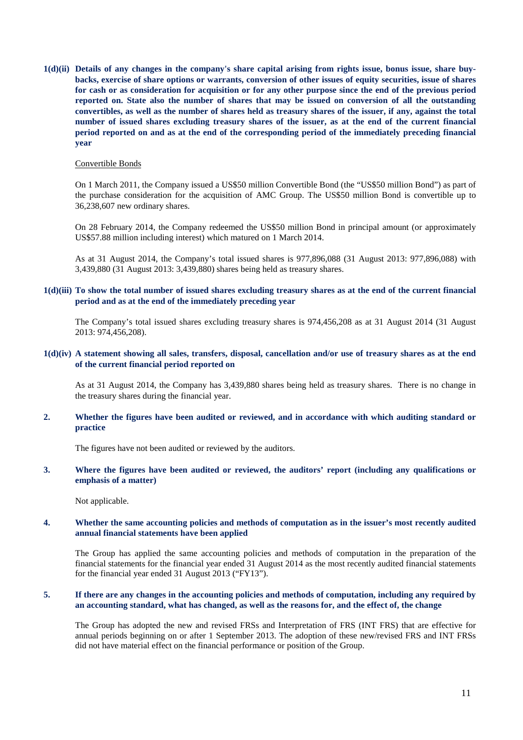**1(d)(ii) Details of any changes in the company's share capital arising from rights issue, bonus issue, share buybacks, exercise of share options or warrants, conversion of other issues of equity securities, issue of shares for cash or as consideration for acquisition or for any other purpose since the end of the previous period reported on. State also the number of shares that may be issued on conversion of all the outstanding convertibles, as well as the number of shares held as treasury shares of the issuer, if any, against the total number of issued shares excluding treasury shares of the issuer, as at the end of the current financial period reported on and as at the end of the corresponding period of the immediately preceding financial year**

#### Convertible Bonds

On 1 March 2011, the Company issued a US\$50 million Convertible Bond (the "US\$50 million Bond") as part of the purchase consideration for the acquisition of AMC Group. The US\$50 million Bond is convertible up to 36,238,607 new ordinary shares.

On 28 February 2014, the Company redeemed the US\$50 million Bond in principal amount (or approximately US\$57.88 million including interest) which matured on 1 March 2014.

As at 31 August 2014, the Company's total issued shares is 977,896,088 (31 August 2013: 977,896,088) with 3,439,880 (31 August 2013: 3,439,880) shares being held as treasury shares.

## **1(d)(iii) To show the total number of issued shares excluding treasury shares as at the end of the current financial period and as at the end of the immediately preceding year**

The Company's total issued shares excluding treasury shares is 974,456,208 as at 31 August 2014 (31 August 2013: 974,456,208).

## **1(d)(iv) A statement showing all sales, transfers, disposal, cancellation and/or use of treasury shares as at the end of the current financial period reported on**

As at 31 August 2014, the Company has 3,439,880 shares being held as treasury shares. There is no change in the treasury shares during the financial year.

### **2. Whether the figures have been audited or reviewed, and in accordance with which auditing standard or practice**

The figures have not been audited or reviewed by the auditors.

## **3. Where the figures have been audited or reviewed, the auditors' report (including any qualifications or emphasis of a matter)**

Not applicable.

### **4. Whether the same accounting policies and methods of computation as in the issuer's most recently audited annual financial statements have been applied**

The Group has applied the same accounting policies and methods of computation in the preparation of the financial statements for the financial year ended 31 August 2014 as the most recently audited financial statements for the financial year ended 31 August 2013 ("FY13").

### **5. If there are any changes in the accounting policies and methods of computation, including any required by an accounting standard, what has changed, as well as the reasons for, and the effect of, the change**

The Group has adopted the new and revised FRSs and Interpretation of FRS (INT FRS) that are effective for annual periods beginning on or after 1 September 2013. The adoption of these new/revised FRS and INT FRSs did not have material effect on the financial performance or position of the Group.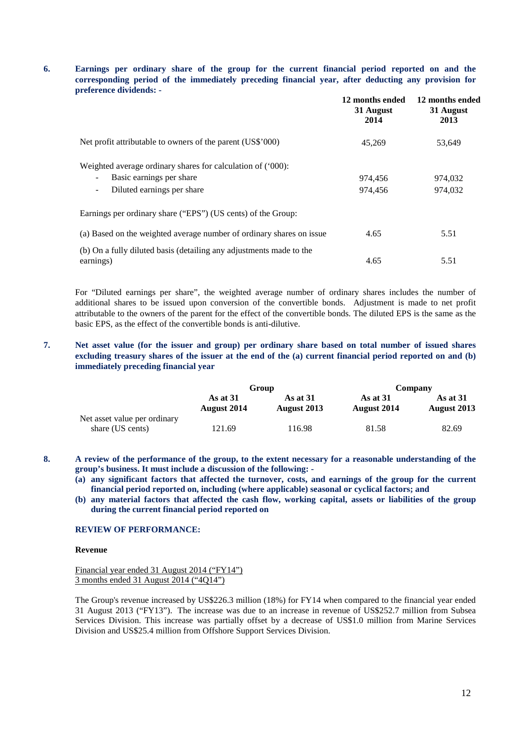## **6. Earnings per ordinary share of the group for the current financial period reported on and the corresponding period of the immediately preceding financial year, after deducting any provision for preference dividends: -**

|                                                                      | 12 months ended<br>31 August<br>2014 | 12 months ended<br>31 August<br>2013 |
|----------------------------------------------------------------------|--------------------------------------|--------------------------------------|
| Net profit attributable to owners of the parent (US\$'000)           | 45,269                               | 53.649                               |
| Weighted average ordinary shares for calculation of ('000):          |                                      |                                      |
| Basic earnings per share<br>$\sim$                                   | 974.456                              | 974.032                              |
| Diluted earnings per share<br>$\sim$                                 | 974.456                              | 974,032                              |
| Earnings per ordinary share ("EPS") (US cents) of the Group:         |                                      |                                      |
| (a) Based on the weighted average number of ordinary shares on issue | 4.65                                 | 5.51                                 |
| (b) On a fully diluted basis (detailing any adjustments made to the  |                                      |                                      |
| earnings)                                                            | 4.65                                 | 5.51                                 |

For "Diluted earnings per share", the weighted average number of ordinary shares includes the number of additional shares to be issued upon conversion of the convertible bonds. Adjustment is made to net profit attributable to the owners of the parent for the effect of the convertible bonds. The diluted EPS is the same as the basic EPS, as the effect of the convertible bonds is anti-dilutive.

## **7. Net asset value (for the issuer and group) per ordinary share based on total number of issued shares excluding treasury shares of the issuer at the end of the (a) current financial period reported on and (b) immediately preceding financial year**

|                                                  | Group                          |                         | Company                   |                         |
|--------------------------------------------------|--------------------------------|-------------------------|---------------------------|-------------------------|
|                                                  | As at 31<br><b>August</b> 2014 | As at 31<br>August 2013 | As at $31$<br>August 2014 | As at 31<br>August 2013 |
| Net asset value per ordinary<br>share (US cents) | 121.69                         | 116.98                  | 81.58                     | 82.69                   |

**8. A review of the performance of the group, to the extent necessary for a reasonable understanding of the group's business. It must include a discussion of the following: -**

**(a) any significant factors that affected the turnover, costs, and earnings of the group for the current financial period reported on, including (where applicable) seasonal or cyclical factors; and**

**(b) any material factors that affected the cash flow, working capital, assets or liabilities of the group during the current financial period reported on**

#### **REVIEW OF PERFORMANCE:**

#### **Revenue**

Financial year ended 31 August 2014 ("FY14") 3 months ended 31 August 2014 ("4Q14")

The Group's revenue increased by US\$226.3 million (18%) for FY14 when compared to the financial year ended 31 August 2013 ("FY13"). The increase was due to an increase in revenue of US\$252.7 million from Subsea Services Division. This increase was partially offset by a decrease of US\$1.0 million from Marine Services Division and US\$25.4 million from Offshore Support Services Division.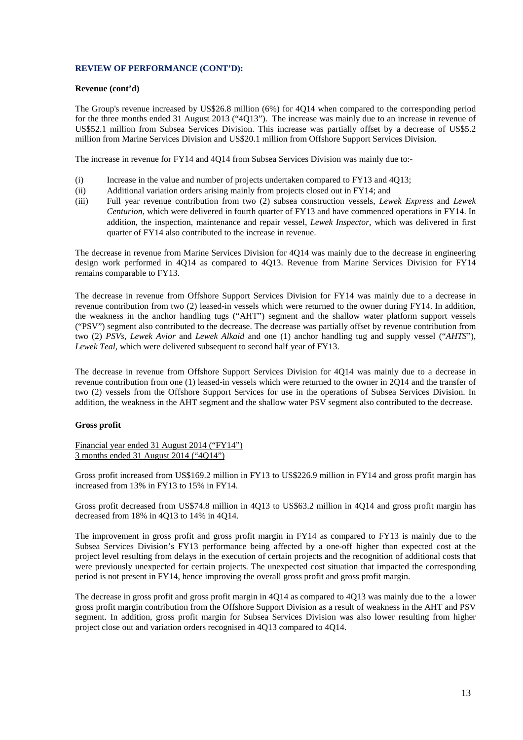## **REVIEW OF PERFORMANCE (CONT'D):**

## **Revenue (cont'd)**

The Group's revenue increased by US\$26.8 million (6%) for 4Q14 when compared to the corresponding period for the three months ended 31 August 2013 ("4Q13"). The increase was mainly due to an increase in revenue of US\$52.1 million from Subsea Services Division. This increase was partially offset by a decrease of US\$5.2 million from Marine Services Division and US\$20.1 million from Offshore Support Services Division.

The increase in revenue for FY14 and 4Q14 from Subsea Services Division was mainly due to:-

- (i) Increase in the value and number of projects undertaken compared to FY13 and 4Q13;
- (ii) Additional variation orders arising mainly from projects closed out in FY14; and
- (iii) Full year revenue contribution from two (2) subsea construction vessels, *Lewek Express* and *Lewek Centurion*, which were delivered in fourth quarter of FY13 and have commenced operations in FY14. In addition, the inspection, maintenance and repair vessel, *Lewek Inspector,* which was delivered in first quarter of FY14 also contributed to the increase in revenue.

The decrease in revenue from Marine Services Division for 4Q14 was mainly due to the decrease in engineering design work performed in 4Q14 as compared to 4Q13. Revenue from Marine Services Division for FY14 remains comparable to FY13.

The decrease in revenue from Offshore Support Services Division for FY14 was mainly due to a decrease in revenue contribution from two (2) leased-in vessels which were returned to the owner during FY14. In addition, the weakness in the anchor handling tugs ("AHT") segment and the shallow water platform support vessels ("PSV") segment also contributed to the decrease. The decrease was partially offset by revenue contribution from two (2) *PSVs*, *Lewek Avior* and *Lewek Alkaid* and one (1) anchor handling tug and supply vessel ("*AHTS*"), *Lewek Teal,* which were delivered subsequent to second half year of FY13.

The decrease in revenue from Offshore Support Services Division for 4Q14 was mainly due to a decrease in revenue contribution from one (1) leased-in vessels which were returned to the owner in 2Q14 and the transfer of two (2) vessels from the Offshore Support Services for use in the operations of Subsea Services Division. In addition, the weakness in the AHT segment and the shallow water PSV segment also contributed to the decrease.

## **Gross profit**

Financial year ended 31 August 2014 ("FY14") 3 months ended 31 August 2014 ("4Q14")

Gross profit increased from US\$169.2 million in FY13 to US\$226.9 million in FY14 and gross profit margin has increased from 13% in FY13 to 15% in FY14.

Gross profit decreased from US\$74.8 million in 4Q13 to US\$63.2 million in 4Q14 and gross profit margin has decreased from 18% in 4Q13 to 14% in 4Q14.

The improvement in gross profit and gross profit margin in FY14 as compared to FY13 is mainly due to the Subsea Services Division's FY13 performance being affected by a one-off higher than expected cost at the project level resulting from delays in the execution of certain projects and the recognition of additional costs that were previously unexpected for certain projects. The unexpected cost situation that impacted the corresponding period is not present in FY14, hence improving the overall gross profit and gross profit margin.

The decrease in gross profit and gross profit margin in 4Q14 as compared to 4Q13 was mainly due to the a lower gross profit margin contribution from the Offshore Support Division as a result of weakness in the AHT and PSV segment. In addition, gross profit margin for Subsea Services Division was also lower resulting from higher project close out and variation orders recognised in 4Q13 compared to 4Q14.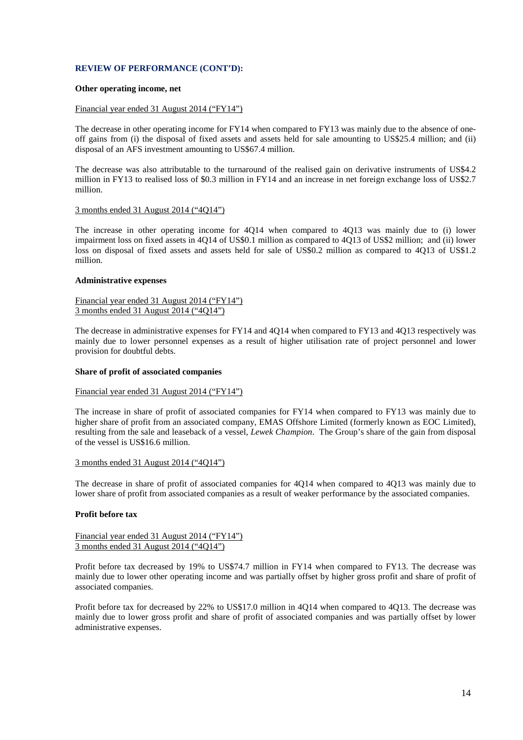## **REVIEW OF PERFORMANCE (CONT'D):**

### **Other operating income, net**

#### Financial year ended 31 August 2014 ("FY14")

The decrease in other operating income for FY14 when compared to FY13 was mainly due to the absence of oneoff gains from (i) the disposal of fixed assets and assets held for sale amounting to US\$25.4 million; and (ii) disposal of an AFS investment amounting to US\$67.4 million.

The decrease was also attributable to the turnaround of the realised gain on derivative instruments of US\$4.2 million in FY13 to realised loss of \$0.3 million in FY14 and an increase in net foreign exchange loss of US\$2.7 million.

### 3 months ended 31 August 2014 ("4Q14")

The increase in other operating income for 4Q14 when compared to 4Q13 was mainly due to (i) lower impairment loss on fixed assets in 4Q14 of US\$0.1 million as compared to 4Q13 of US\$2 million; and (ii) lower loss on disposal of fixed assets and assets held for sale of US\$0.2 million as compared to 4Q13 of US\$1.2 million.

#### **Administrative expenses**

#### Financial year ended 31 August 2014 ("FY14") 3 months ended 31 August 2014 ("4Q14")

The decrease in administrative expenses for FY14 and 4Q14 when compared to FY13 and 4Q13 respectively was mainly due to lower personnel expenses as a result of higher utilisation rate of project personnel and lower provision for doubtful debts.

#### **Share of profit of associated companies**

#### Financial year ended 31 August 2014 ("FY14")

The increase in share of profit of associated companies for FY14 when compared to FY13 was mainly due to higher share of profit from an associated company, EMAS Offshore Limited (formerly known as EOC Limited), resulting from the sale and leaseback of a vessel, *Lewek Champion*. The Group's share of the gain from disposal of the vessel is US\$16.6 million.

#### 3 months ended 31 August 2014 ("4Q14")

The decrease in share of profit of associated companies for 4Q14 when compared to 4Q13 was mainly due to lower share of profit from associated companies as a result of weaker performance by the associated companies.

### **Profit before tax**

### Financial year ended 31 August 2014 ("FY14") 3 months ended 31 August 2014 ("4Q14")

Profit before tax decreased by 19% to US\$74.7 million in FY14 when compared to FY13. The decrease was mainly due to lower other operating income and was partially offset by higher gross profit and share of profit of associated companies.

Profit before tax for decreased by 22% to US\$17.0 million in 4Q14 when compared to 4Q13. The decrease was mainly due to lower gross profit and share of profit of associated companies and was partially offset by lower administrative expenses.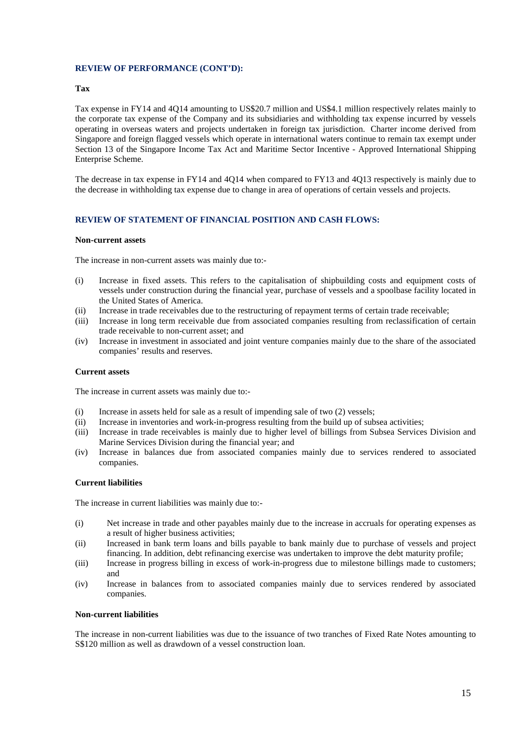## **REVIEW OF PERFORMANCE (CONT'D):**

#### **Tax**

Tax expense in FY14 and 4Q14 amounting to US\$20.7 million and US\$4.1 million respectively relates mainly to the corporate tax expense of the Company and its subsidiaries and withholding tax expense incurred by vessels operating in overseas waters and projects undertaken in foreign tax jurisdiction. Charter income derived from Singapore and foreign flagged vessels which operate in international waters continue to remain tax exempt under Section 13 of the Singapore Income Tax Act and Maritime Sector Incentive - Approved International Shipping Enterprise Scheme.

The decrease in tax expense in FY14 and 4Q14 when compared to FY13 and 4Q13 respectively is mainly due to the decrease in withholding tax expense due to change in area of operations of certain vessels and projects.

## **REVIEW OF STATEMENT OF FINANCIAL POSITION AND CASH FLOWS:**

#### **Non-current assets**

The increase in non-current assets was mainly due to:-

- (i) Increase in fixed assets. This refers to the capitalisation of shipbuilding costs and equipment costs of vessels under construction during the financial year, purchase of vessels and a spoolbase facility located in the United States of America.
- (ii) Increase in trade receivables due to the restructuring of repayment terms of certain trade receivable;
- (iii) Increase in long term receivable due from associated companies resulting from reclassification of certain trade receivable to non-current asset; and
- (iv) Increase in investment in associated and joint venture companies mainly due to the share of the associated companies' results and reserves.

#### **Current assets**

The increase in current assets was mainly due to:-

- (i) Increase in assets held for sale as a result of impending sale of two (2) vessels;
- (ii) Increase in inventories and work-in-progress resulting from the build up of subsea activities;
- (iii) Increase in trade receivables is mainly due to higher level of billings from Subsea Services Division and Marine Services Division during the financial year; and
- (iv) Increase in balances due from associated companies mainly due to services rendered to associated companies.

#### **Current liabilities**

The increase in current liabilities was mainly due to:-

- (i) Net increase in trade and other payables mainly due to the increase in accruals for operating expenses as a result of higher business activities;
- (ii) Increased in bank term loans and bills payable to bank mainly due to purchase of vessels and project financing. In addition, debt refinancing exercise was undertaken to improve the debt maturity profile;
- (iii) Increase in progress billing in excess of work-in-progress due to milestone billings made to customers; and
- (iv) Increase in balances from to associated companies mainly due to services rendered by associated companies.

### **Non-current liabilities**

The increase in non-current liabilities was due to the issuance of two tranches of Fixed Rate Notes amounting to S\$120 million as well as drawdown of a vessel construction loan.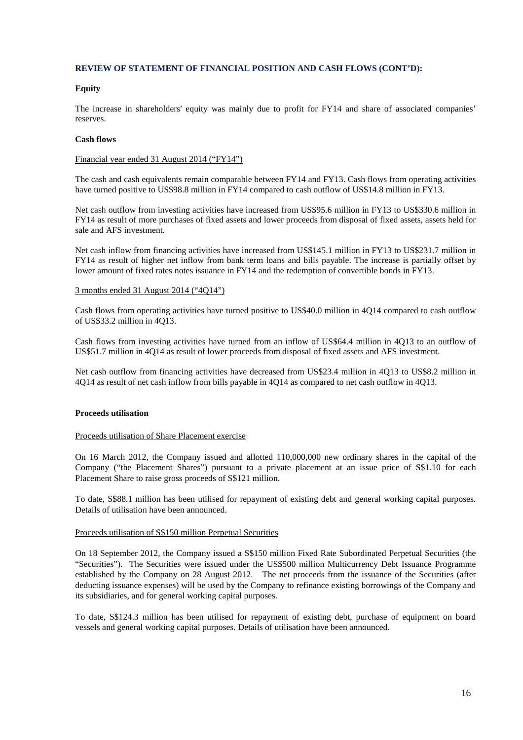## **REVIEW OF STATEMENT OF FINANCIAL POSITION AND CASH FLOWS (CONT'D):**

### **Equity**

The increase in shareholders' equity was mainly due to profit for FY14 and share of associated companies' reserves.

### **Cash flows**

#### Financial year ended 31 August 2014 ("FY14")

The cash and cash equivalents remain comparable between FY14 and FY13. Cash flows from operating activities have turned positive to US\$98.8 million in FY14 compared to cash outflow of US\$14.8 million in FY13.

Net cash outflow from investing activities have increased from US\$95.6 million in FY13 to US\$330.6 million in FY14 as result of more purchases of fixed assets and lower proceeds from disposal of fixed assets, assets held for sale and AFS investment.

Net cash inflow from financing activities have increased from US\$145.1 million in FY13 to US\$231.7 million in FY14 as result of higher net inflow from bank term loans and bills payable. The increase is partially offset by lower amount of fixed rates notes issuance in FY14 and the redemption of convertible bonds in FY13.

### 3 months ended 31 August 2014 ("4Q14")

Cash flows from operating activities have turned positive to US\$40.0 million in 4Q14 compared to cash outflow of US\$33.2 million in 4Q13.

Cash flows from investing activities have turned from an inflow of US\$64.4 million in 4Q13 to an outflow of US\$51.7 million in 4Q14 as result of lower proceeds from disposal of fixed assets and AFS investment.

Net cash outflow from financing activities have decreased from US\$23.4 million in 4Q13 to US\$8.2 million in 4Q14 as result of net cash inflow from bills payable in 4Q14 as compared to net cash outflow in 4Q13.

## **Proceeds utilisation**

#### Proceeds utilisation of Share Placement exercise

On 16 March 2012, the Company issued and allotted 110,000,000 new ordinary shares in the capital of the Company ("the Placement Shares") pursuant to a private placement at an issue price of S\$1.10 for each Placement Share to raise gross proceeds of S\$121 million.

To date, S\$88.1 million has been utilised for repayment of existing debt and general working capital purposes. Details of utilisation have been announced.

#### Proceeds utilisation of S\$150 million Perpetual Securities

On 18 September 2012, the Company issued a S\$150 million Fixed Rate Subordinated Perpetual Securities (the "Securities"). The Securities were issued under the US\$500 million Multicurrency Debt Issuance Programme established by the Company on 28 August 2012. The net proceeds from the issuance of the Securities (after deducting issuance expenses) will be used by the Company to refinance existing borrowings of the Company and its subsidiaries, and for general working capital purposes.

To date, S\$124.3 million has been utilised for repayment of existing debt, purchase of equipment on board vessels and general working capital purposes. Details of utilisation have been announced.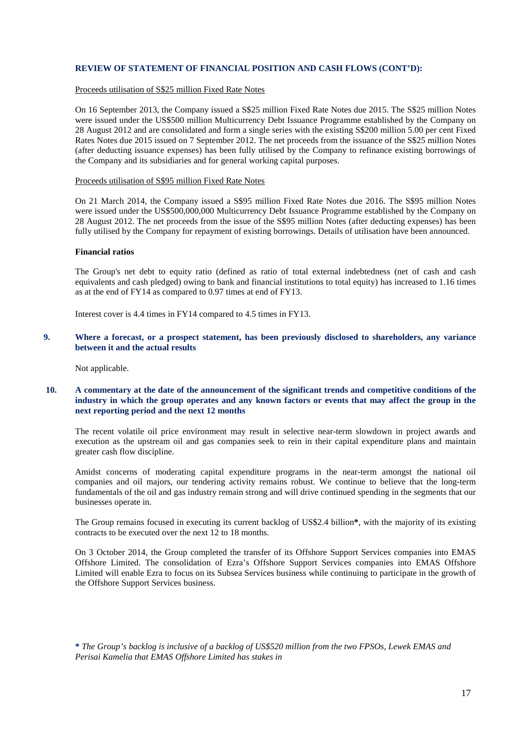## **REVIEW OF STATEMENT OF FINANCIAL POSITION AND CASH FLOWS (CONT'D):**

## Proceeds utilisation of S\$25 million Fixed Rate Notes

On 16 September 2013, the Company issued a S\$25 million Fixed Rate Notes due 2015. The S\$25 million Notes were issued under the US\$500 million Multicurrency Debt Issuance Programme established by the Company on 28 August 2012 and are consolidated and form a single series with the existing S\$200 million 5.00 per cent Fixed Rates Notes due 2015 issued on 7 September 2012. The net proceeds from the issuance of the S\$25 million Notes (after deducting issuance expenses) has been fully utilised by the Company to refinance existing borrowings of the Company and its subsidiaries and for general working capital purposes.

## Proceeds utilisation of S\$95 million Fixed Rate Notes

On 21 March 2014, the Company issued a S\$95 million Fixed Rate Notes due 2016. The S\$95 million Notes were issued under the US\$500,000,000 Multicurrency Debt Issuance Programme established by the Company on 28 August 2012. The net proceeds from the issue of the S\$95 million Notes (after deducting expenses) has been fully utilised by the Company for repayment of existing borrowings. Details of utilisation have been announced.

#### **Financial ratios**

The Group's net debt to equity ratio (defined as ratio of total external indebtedness (net of cash and cash equivalents and cash pledged) owing to bank and financial institutions to total equity) has increased to 1.16 times as at the end of FY14 as compared to 0.97 times at end of FY13.

Interest cover is 4.4 times in FY14 compared to 4.5 times in FY13.

**9. Where a forecast, or a prospect statement, has been previously disclosed to shareholders, any variance between it and the actual results**

Not applicable.

## **10. A commentary at the date of the announcement of the significant trends and competitive conditions of the industry in which the group operates and any known factors or events that may affect the group in the next reporting period and the next 12 months**

The recent volatile oil price environment may result in selective near-term slowdown in project awards and execution as the upstream oil and gas companies seek to rein in their capital expenditure plans and maintain greater cash flow discipline.

Amidst concerns of moderating capital expenditure programs in the near-term amongst the national oil companies and oil majors, our tendering activity remains robust. We continue to believe that the long-term fundamentals of the oil and gas industry remain strong and will drive continued spending in the segments that our businesses operate in.

The Group remains focused in executing its current backlog of US\$2.4 billion**\***, with the majority of its existing contracts to be executed over the next 12 to 18 months.

On 3 October 2014, the Group completed the transfer of its Offshore Support Services companies into EMAS Offshore Limited. The consolidation of Ezra's Offshore Support Services companies into EMAS Offshore Limited will enable Ezra to focus on its Subsea Services business while continuing to participate in the growth of the Offshore Support Services business.

**\*** *The Group's backlog is inclusive of a backlog of US\$520 million from the two FPSOs, Lewek EMAS and Perisai Kamelia that EMAS Offshore Limited has stakes in*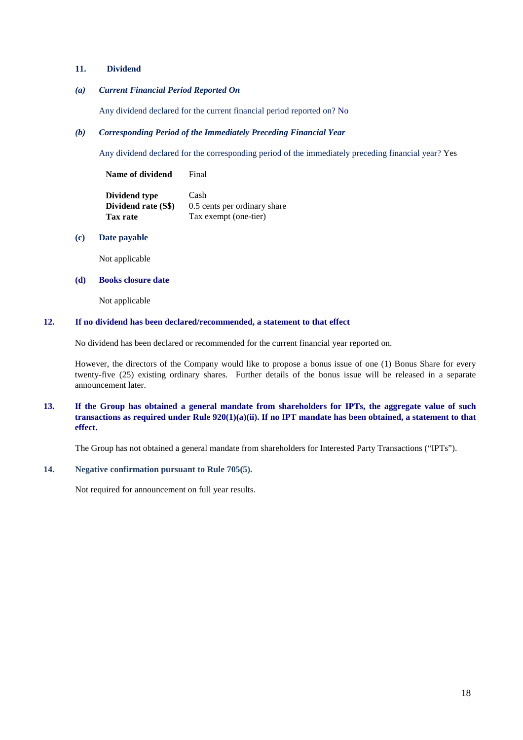## **11. Dividend**

## *(a) Current Financial Period Reported On*

Any dividend declared for the current financial period reported on? No

## *(b) Corresponding Period of the Immediately Preceding Financial Year*

Any dividend declared for the corresponding period of the immediately preceding financial year? Yes

**Name of dividend** Final

| Dividend type       | Cash                         |
|---------------------|------------------------------|
| Dividend rate (S\$) | 0.5 cents per ordinary share |
| Tax rate            | Tax exempt (one-tier)        |

## **(c) Date payable**

Not applicable

## **(d) Books closure date**

Not applicable

## **12. If no dividend has been declared/recommended, a statement to that effect**

No dividend has been declared or recommended for the current financial year reported on.

However, the directors of the Company would like to propose a bonus issue of one (1) Bonus Share for every twenty-five (25) existing ordinary shares. Further details of the bonus issue will be released in a separate announcement later.

## **13. If the Group has obtained a general mandate from shareholders for IPTs, the aggregate value of such transactions as required under Rule 920(1)(a)(ii). If no IPT mandate has been obtained, a statement to that effect.**

The Group has not obtained a general mandate from shareholders for Interested Party Transactions ("IPTs").

## **14. Negative confirmation pursuant to Rule 705(5).**

Not required for announcement on full year results.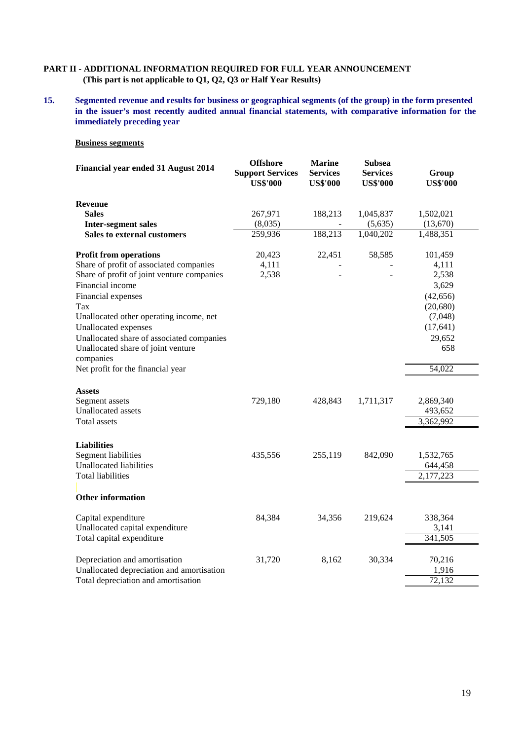## **PART II - ADDITIONAL INFORMATION REQUIRED FOR FULL YEAR ANNOUNCEMENT (This part is not applicable to Q1, Q2, Q3 or Half Year Results)**

**15. Segmented revenue and results for business or geographical segments (of the group) in the form presented in the issuer's most recently audited annual financial statements, with comparative information for the immediately preceding year**

## **Business segments**

| Financial year ended 31 August 2014                                                                                                                                                                                                                                                                                                                                             | <b>Offshore</b><br><b>Support Services</b><br><b>US\$'000</b> | <b>Marine</b><br><b>Services</b><br><b>US\$'000</b> | <b>Subsea</b><br><b>Services</b><br><b>US\$'000</b> | Group<br><b>US\$'000</b>                                                                                        |  |
|---------------------------------------------------------------------------------------------------------------------------------------------------------------------------------------------------------------------------------------------------------------------------------------------------------------------------------------------------------------------------------|---------------------------------------------------------------|-----------------------------------------------------|-----------------------------------------------------|-----------------------------------------------------------------------------------------------------------------|--|
| <b>Revenue</b><br><b>Sales</b><br><b>Inter-segment sales</b>                                                                                                                                                                                                                                                                                                                    | 267,971<br>(8,035)                                            | 188,213                                             | 1,045,837<br>(5,635)                                | 1,502,021<br>(13,670)                                                                                           |  |
| <b>Sales to external customers</b>                                                                                                                                                                                                                                                                                                                                              | 259,936                                                       | 188,213                                             | 1,040,202                                           | 1,488,351                                                                                                       |  |
| <b>Profit from operations</b><br>Share of profit of associated companies<br>Share of profit of joint venture companies<br>Financial income<br>Financial expenses<br>Tax<br>Unallocated other operating income, net<br>Unallocated expenses<br>Unallocated share of associated companies<br>Unallocated share of joint venture<br>companies<br>Net profit for the financial year | 20,423<br>4,111<br>2,538                                      | 22,451                                              | 58,585                                              | 101,459<br>4,111<br>2,538<br>3,629<br>(42, 656)<br>(20, 680)<br>(7,048)<br>(17, 641)<br>29,652<br>658<br>54,022 |  |
| Assets<br>Segment assets<br><b>Unallocated</b> assets<br>Total assets                                                                                                                                                                                                                                                                                                           | 729,180                                                       | 428,843                                             | 1,711,317                                           | 2,869,340<br>493,652<br>3,362,992                                                                               |  |
| <b>Liabilities</b><br><b>Segment liabilities</b><br>Unallocated liabilities<br><b>Total liabilities</b><br><b>Other information</b>                                                                                                                                                                                                                                             | 435,556                                                       | 255,119                                             | 842,090                                             | 1,532,765<br>644,458<br>2,177,223                                                                               |  |
|                                                                                                                                                                                                                                                                                                                                                                                 |                                                               |                                                     |                                                     |                                                                                                                 |  |
| Capital expenditure<br>Unallocated capital expenditure<br>Total capital expenditure                                                                                                                                                                                                                                                                                             | 84,384                                                        | 34,356                                              | 219,624                                             | 338,364<br>3,141<br>341,505                                                                                     |  |
| Depreciation and amortisation<br>Unallocated depreciation and amortisation<br>Total depreciation and amortisation                                                                                                                                                                                                                                                               | 31,720                                                        | 8,162                                               | 30,334                                              | 70,216<br>1,916<br>72,132                                                                                       |  |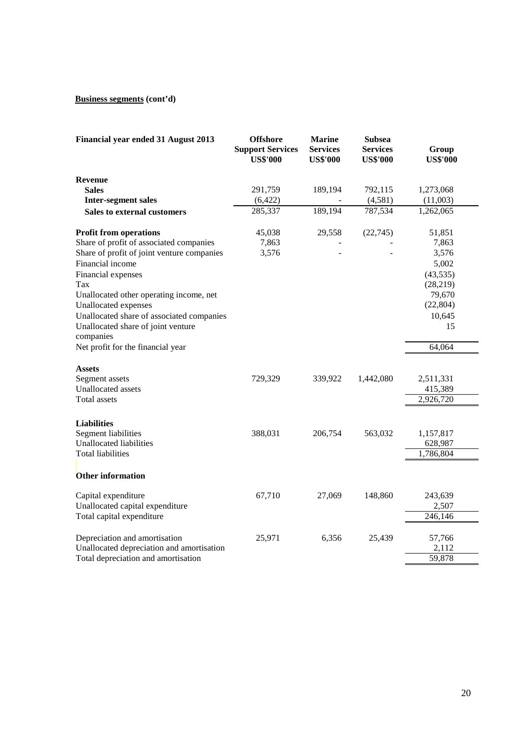# **Business segments (cont'd)**

| Financial year ended 31 August 2013                               | <b>Offshore</b><br><b>Support Services</b><br><b>US\$'000</b> | <b>Marine</b><br><b>Services</b><br><b>US\$'000</b> | <b>Subsea</b><br><b>Services</b><br><b>US\$'000</b> | Group<br><b>US\$'000</b> |
|-------------------------------------------------------------------|---------------------------------------------------------------|-----------------------------------------------------|-----------------------------------------------------|--------------------------|
| <b>Revenue</b>                                                    |                                                               |                                                     |                                                     |                          |
| <b>Sales</b>                                                      | 291,759                                                       | 189,194                                             | 792,115                                             | 1,273,068                |
| <b>Inter-segment sales</b>                                        | (6,422)                                                       |                                                     | (4,581)                                             | (11,003)                 |
| <b>Sales to external customers</b>                                | 285,337                                                       | 189,194                                             | 787,534                                             | 1,262,065                |
| <b>Profit from operations</b>                                     | 45,038                                                        | 29,558                                              | (22,745)                                            | 51,851                   |
| Share of profit of associated companies                           | 7,863                                                         |                                                     |                                                     | 7,863                    |
| Share of profit of joint venture companies                        | 3,576                                                         |                                                     |                                                     | 3,576                    |
| Financial income                                                  |                                                               |                                                     |                                                     | 5,002                    |
| Financial expenses                                                |                                                               |                                                     |                                                     | (43, 535)                |
| Tax                                                               |                                                               |                                                     |                                                     | (28, 219)                |
| Unallocated other operating income, net                           |                                                               |                                                     |                                                     | 79,670<br>(22, 804)      |
| Unallocated expenses<br>Unallocated share of associated companies |                                                               |                                                     |                                                     | 10,645                   |
| Unallocated share of joint venture                                |                                                               |                                                     |                                                     | 15                       |
| companies                                                         |                                                               |                                                     |                                                     |                          |
| Net profit for the financial year                                 |                                                               |                                                     |                                                     | 64,064                   |
| <b>Assets</b>                                                     |                                                               |                                                     |                                                     |                          |
| Segment assets                                                    | 729,329                                                       | 339,922                                             | 1,442,080                                           | 2,511,331                |
| Unallocated assets                                                |                                                               |                                                     |                                                     | 415,389                  |
| Total assets                                                      |                                                               |                                                     |                                                     | 2,926,720                |
| <b>Liabilities</b>                                                |                                                               |                                                     |                                                     |                          |
| <b>Segment liabilities</b>                                        | 388,031                                                       | 206,754                                             | 563,032                                             | 1,157,817                |
| <b>Unallocated liabilities</b>                                    |                                                               |                                                     |                                                     | 628,987                  |
| Total liabilities                                                 |                                                               |                                                     |                                                     | 1,786,804                |
|                                                                   |                                                               |                                                     |                                                     |                          |
| <b>Other information</b>                                          |                                                               |                                                     |                                                     |                          |
| Capital expenditure                                               | 67,710                                                        | 27,069                                              | 148,860                                             | 243,639                  |
| Unallocated capital expenditure                                   |                                                               |                                                     |                                                     | 2,507                    |
| Total capital expenditure                                         |                                                               |                                                     |                                                     | 246,146                  |
| Depreciation and amortisation                                     | 25,971                                                        | 6,356                                               | 25,439                                              | 57,766                   |
| Unallocated depreciation and amortisation                         |                                                               |                                                     |                                                     | 2,112                    |
| Total depreciation and amortisation                               |                                                               |                                                     |                                                     | 59,878                   |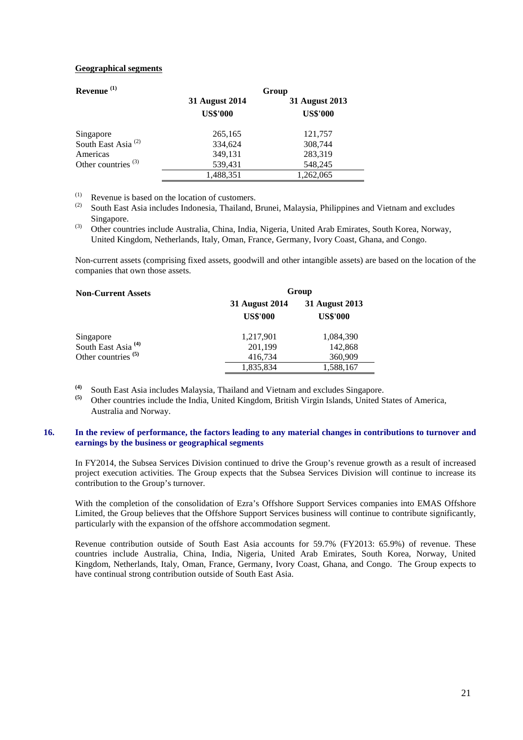## **Geographical segments**

| Revenue $(1)$                  | Group           |                 |  |  |
|--------------------------------|-----------------|-----------------|--|--|
|                                | 31 August 2014  | 31 August 2013  |  |  |
|                                | <b>US\$'000</b> | <b>US\$'000</b> |  |  |
| Singapore                      | 265,165         | 121,757         |  |  |
| South East Asia <sup>(2)</sup> | 334,624         | 308,744         |  |  |
| Americas                       | 349,131         | 283,319         |  |  |
| Other countries $(3)$          | 539,431         | 548,245         |  |  |
|                                | 1,488,351       | 1,262,065       |  |  |

(1) Revenue is based on the location of customers.<br>(2)  $S_{\text{tot}}$  the locational deviation of The location

- South East Asia includes Indonesia, Thailand, Brunei, Malaysia, Philippines and Vietnam and excludes Singapore.
- $\overrightarrow{a}$  Other countries include Australia, China, India, Nigeria, United Arab Emirates, South Korea, Norway, United Kingdom, Netherlands, Italy, Oman, France, Germany, Ivory Coast, Ghana, and Congo.

Non-current assets (comprising fixed assets, goodwill and other intangible assets) are based on the location of the companies that own those assets.

| <b>Non-Current Assets</b>      | Group                                    |                                   |  |  |
|--------------------------------|------------------------------------------|-----------------------------------|--|--|
|                                | <b>31 August 2014</b><br><b>US\$'000</b> | 31 August 2013<br><b>US\$'000</b> |  |  |
| Singapore                      | 1,217,901                                | 1,084,390                         |  |  |
| South East Asia <sup>(4)</sup> | 201,199                                  | 142,868                           |  |  |
| Other countries $(5)$          | 416,734                                  | 360,909                           |  |  |
|                                | 1,835,834                                | 1,588,167                         |  |  |

- **(4)** South East Asia includes Malaysia, Thailand and Vietnam and excludes Singapore.
- **(5)** Other countries include the India, United Kingdom, British Virgin Islands, United States of America, Australia and Norway.

## **16. In the review of performance, the factors leading to any material changes in contributions to turnover and earnings by the business or geographical segments**

In FY2014, the Subsea Services Division continued to drive the Group's revenue growth as a result of increased project execution activities. The Group expects that the Subsea Services Division will continue to increase its contribution to the Group's turnover.

With the completion of the consolidation of Ezra's Offshore Support Services companies into EMAS Offshore Limited, the Group believes that the Offshore Support Services business will continue to contribute significantly, particularly with the expansion of the offshore accommodation segment.

Revenue contribution outside of South East Asia accounts for 59.7% (FY2013: 65.9%) of revenue. These countries include Australia, China, India, Nigeria, United Arab Emirates, South Korea, Norway, United Kingdom, Netherlands, Italy, Oman, France, Germany, Ivory Coast, Ghana, and Congo. The Group expects to have continual strong contribution outside of South East Asia.